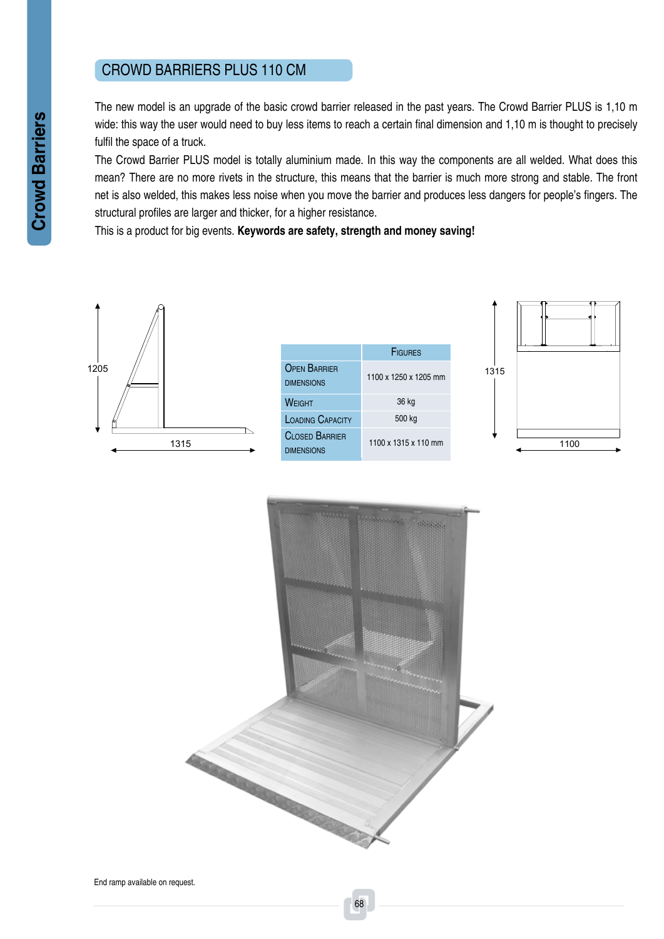## CROWD BARRIERS PLUS 110 C

The new model is an upgrade of the basic crowd barrier released in the past years. The Crowd Barrier PLUS is 1,10 m wide: this way the user would need to buy less items to reach a certain final dimension and 1,10 m is thought to precisely fulfil the space of a truck.

The Crowd Barrier PLUS model is totally aluminium made. In this way the components are all welded. What does this mean? There are no more rivets in the structure, this means that the barrier is much more strong and stable. The front net is also welded, this makes less noise when you move the barrier and produces less dangers for people's fingers. The structural profiles are larger and thicker, for a higher resistance.

This is a product for big events. **Keywords are safety, strength and money saving!**



|                                            | <b>FIGURES</b>        |
|--------------------------------------------|-----------------------|
| <b>OPEN BARRIER</b><br><b>DIMENSIONS</b>   | 1100 x 1250 x 1205 mm |
| WFIGHT                                     | 36 kg                 |
| <b>LOADING CAPACITY</b>                    | 500 kg                |
| <b>CIOSED BARRIER</b><br><b>DIMENSIONS</b> | 1100 x 1315 x 110 mm  |





**Crowd Barriers Crowd Barriers**

End ramp available on request.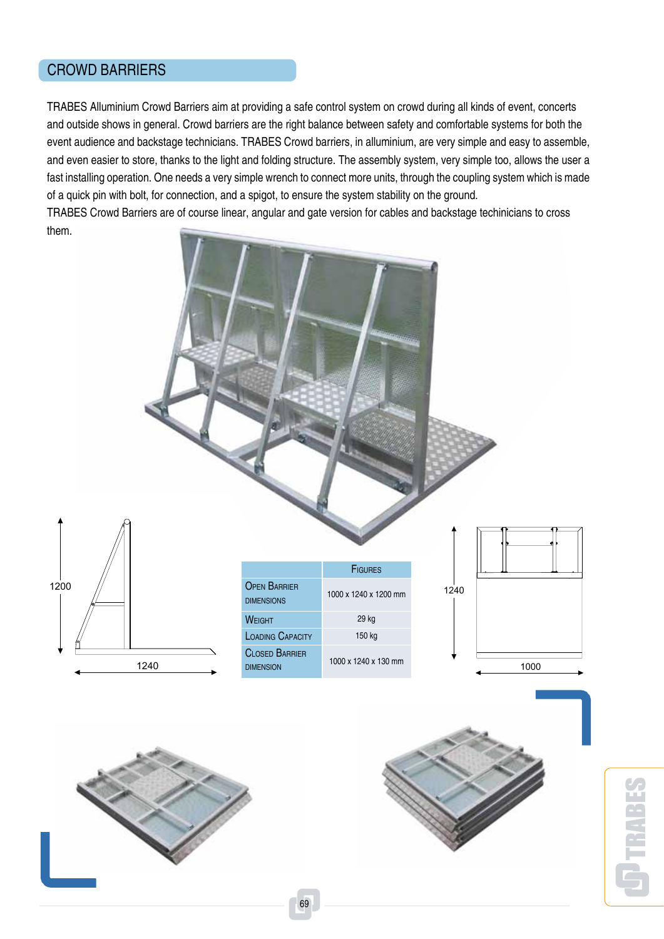## CROWD BARRIERS

TRABES Alluminium Crowd Barriers aim at providing a safe control system on crowd during all kinds of event, concerts and outside shows in general. Crowd barriers are the right balance between safety and comfortable systems for both the event audience and backstage technicians. TRABES Crowd barriers, in alluminium, are very simple and easy to assemble, and even easier to store, thanks to the light and folding structure. The assembly system, very simple too, allows the user a fast installing operation. One needs a very simple wrench to connect more units, through the coupling system which is made of a quick pin with bolt, for connection, and a spigot, to ensure the system stability on the ground.

TRABES Crowd Barriers are of course linear, angular and gate version for cables and backstage techinicians to cross them.